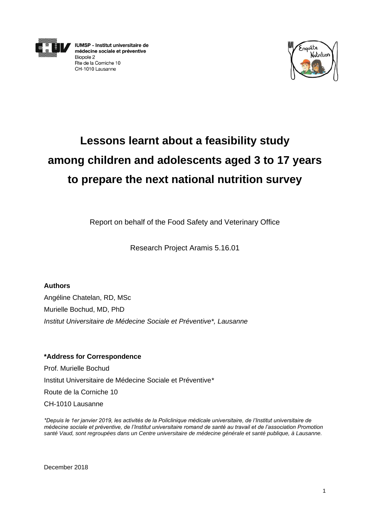

**IUMSP - Institut universitaire de** médecine sociale et préventive Biopole 2 Rte de la Corniche 10 CH-1010 Lausanne



# **Lessons learnt about a feasibility study among children and adolescents aged 3 to 17 years to prepare the next national nutrition survey**

Report on behalf of the Food Safety and Veterinary Office

Research Project Aramis 5.16.01

**Authors** Angéline Chatelan, RD, MSc Murielle Bochud, MD, PhD *Institut Universitaire de Médecine Sociale et Préventive\*, Lausanne* 

**\*Address for Correspondence** Prof. Murielle Bochud Institut Universitaire de Médecine Sociale et Préventive*\** Route de la Corniche 10 CH-1010 Lausanne

*\*Depuis le 1er janvier 2019, les activités de la Policlinique médicale universitaire, de l'Institut universitaire de médecine sociale et préventive, de l'Institut universitaire romand de santé au travail et de l'association Promotion*  santé Vaud, sont regroupées dans un Centre universitaire de médecine générale et santé publique, à Lausanne.

December 2018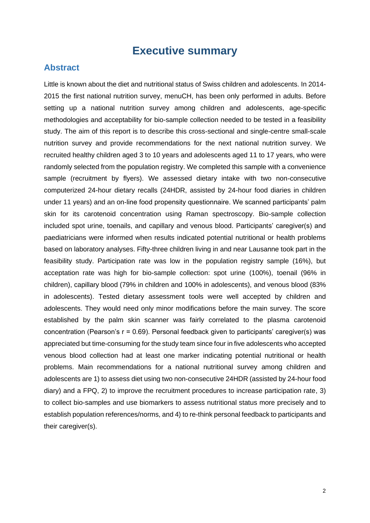# **Executive summary**

### **Abstract**

Little is known about the diet and nutritional status of Swiss children and adolescents. In 2014- 2015 the first national nutrition survey, menuCH, has been only performed in adults. Before setting up a national nutrition survey among children and adolescents, age-specific methodologies and acceptability for bio-sample collection needed to be tested in a feasibility study. The aim of this report is to describe this cross-sectional and single-centre small-scale nutrition survey and provide recommendations for the next national nutrition survey. We recruited healthy children aged 3 to 10 years and adolescents aged 11 to 17 years, who were randomly selected from the population registry. We completed this sample with a convenience sample (recruitment by flyers). We assessed dietary intake with two non-consecutive computerized 24-hour dietary recalls (24HDR, assisted by 24-hour food diaries in children under 11 years) and an on-line food propensity questionnaire. We scanned participants' palm skin for its carotenoid concentration using Raman spectroscopy. Bio-sample collection included spot urine, toenails, and capillary and venous blood. Participants' caregiver(s) and paediatricians were informed when results indicated potential nutritional or health problems based on laboratory analyses. Fifty-three children living in and near Lausanne took part in the feasibility study. Participation rate was low in the population registry sample (16%), but acceptation rate was high for bio-sample collection: spot urine (100%), toenail (96% in children), capillary blood (79% in children and 100% in adolescents), and venous blood (83% in adolescents). Tested dietary assessment tools were well accepted by children and adolescents. They would need only minor modifications before the main survey. The score established by the palm skin scanner was fairly correlated to the plasma carotenoid concentration (Pearson's  $r = 0.69$ ). Personal feedback given to participants' caregiver(s) was appreciated but time-consuming for the study team since four in five adolescents who accepted venous blood collection had at least one marker indicating potential nutritional or health problems. Main recommendations for a national nutritional survey among children and adolescents are 1) to assess diet using two non-consecutive 24HDR (assisted by 24-hour food diary) and a FPQ, 2) to improve the recruitment procedures to increase participation rate, 3) to collect bio-samples and use biomarkers to assess nutritional status more precisely and to establish population references/norms, and 4) to re-think personal feedback to participants and their caregiver(s).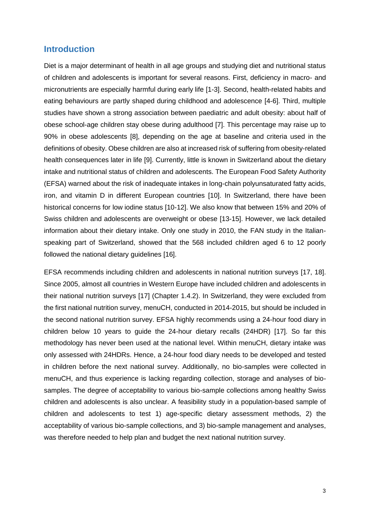# **Introduction**

Diet is a major determinant of health in all age groups and studying diet and nutritional status of children and adolescents is important for several reasons. First, deficiency in macro- and micronutrients are especially harmful during early life [1-3]. Second, health-related habits and eating behaviours are partly shaped during childhood and adolescence [4-6]. Third, multiple studies have shown a strong association between paediatric and adult obesity: about half of obese school-age children stay obese during adulthood [7]. This percentage may raise up to 90% in obese adolescents [8], depending on the age at baseline and criteria used in the definitions of obesity. Obese children are also at increased risk of suffering from obesity-related health consequences later in life [9]. Currently, little is known in Switzerland about the dietary intake and nutritional status of children and adolescents. The European Food Safety Authority (EFSA) warned about the risk of inadequate intakes in long-chain polyunsaturated fatty acids, iron, and vitamin D in different European countries [10]. In Switzerland, there have been historical concerns for low iodine status [10-12]. We also know that between 15% and 20% of Swiss children and adolescents are overweight or obese [13-15]. However, we lack detailed information about their dietary intake. Only one study in 2010, the FAN study in the Italianspeaking part of Switzerland, showed that the 568 included children aged 6 to 12 poorly followed the national dietary guidelines [16].

EFSA recommends including children and adolescents in national nutrition surveys [17, 18]. Since 2005, almost all countries in Western Europe have included children and adolescents in their national nutrition surveys [17] (Chapter 1.4.2). In Switzerland, they were excluded from the first national nutrition survey, menuCH, conducted in 2014-2015, but should be included in the second national nutrition survey. EFSA highly recommends using a 24-hour food diary in children below 10 years to guide the 24-hour dietary recalls (24HDR) [17]. So far this methodology has never been used at the national level. Within menuCH, dietary intake was only assessed with 24HDRs. Hence, a 24-hour food diary needs to be developed and tested in children before the next national survey. Additionally, no bio-samples were collected in menuCH, and thus experience is lacking regarding collection, storage and analyses of biosamples. The degree of acceptability to various bio-sample collections among healthy Swiss children and adolescents is also unclear. A feasibility study in a population-based sample of children and adolescents to test 1) age-specific dietary assessment methods, 2) the acceptability of various bio-sample collections, and 3) bio-sample management and analyses, was therefore needed to help plan and budget the next national nutrition survey.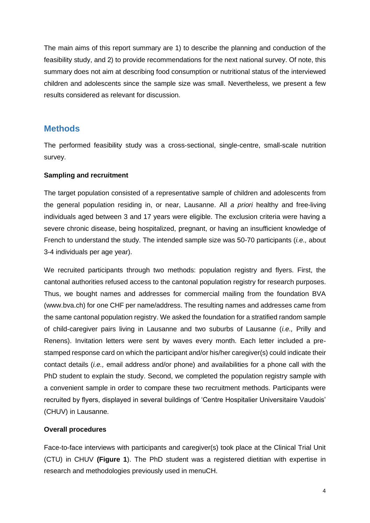The main aims of this report summary are 1) to describe the planning and conduction of the feasibility study, and 2) to provide recommendations for the next national survey. Of note, this summary does not aim at describing food consumption or nutritional status of the interviewed children and adolescents since the sample size was small. Nevertheless, we present a few results considered as relevant for discussion.

# **Methods**

The performed feasibility study was a cross-sectional, single-centre, small-scale nutrition survey.

#### **Sampling and recruitment**

The target population consisted of a representative sample of children and adolescents from the general population residing in, or near, Lausanne. All *a priori* healthy and free-living individuals aged between 3 and 17 years were eligible. The exclusion criteria were having a severe chronic disease, being hospitalized, pregnant, or having an insufficient knowledge of French to understand the study. The intended sample size was 50-70 participants (*i.e.,* about 3-4 individuals per age year).

We recruited participants through two methods: population registry and flyers. First, the cantonal authorities refused access to the cantonal population registry for research purposes. Thus, we bought names and addresses for commercial mailing from the foundation BVA [\(www.bva.ch\)](http://www.bva.ch/) for one CHF per name/address. The resulting names and addresses came from the same cantonal population registry. We asked the foundation for a stratified random sample of child-caregiver pairs living in Lausanne and two suburbs of Lausanne (*i.e.,* Prilly and Renens). Invitation letters were sent by waves every month. Each letter included a prestamped response card on which the participant and/or his/her caregiver(s) could indicate their contact details (*i.e.,* email address and/or phone) and availabilities for a phone call with the PhD student to explain the study. Second, we completed the population registry sample with a convenient sample in order to compare these two recruitment methods. Participants were recruited by flyers, displayed in several buildings of 'Centre Hospitalier Universitaire Vaudois' (CHUV) in Lausanne.

#### **Overall procedures**

Face-to-face interviews with participants and caregiver(s) took place at the Clinical Trial Unit (CTU) in CHUV **(Figure 1**). The PhD student was a registered dietitian with expertise in research and methodologies previously used in menuCH.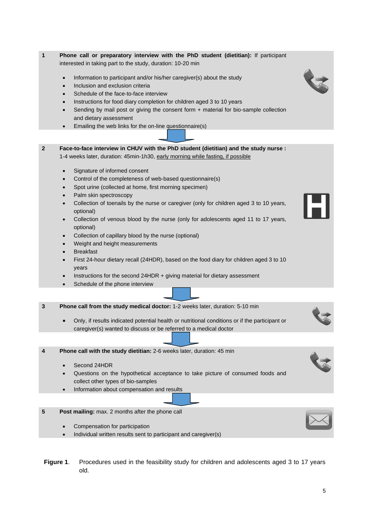- **2 Face-to-face interview in CHUV with the PhD student (dietitian) and the study nurse :**  1-4 weeks later, duration: 45min-1h30, early morning while fasting, if possible
	- Signature of informed consent

and dietary assessment

- Control of the completeness of web-based questionnaire(s)
- Spot urine (collected at home, first morning specimen)

• Emailing the web links for the on-line questionnaire(s)

interested in taking part to the study, duration: 10-20 min

• Inclusion and exclusion criteria Schedule of the face-to-face interview

• Information to participant and/or his/her caregiver(s) about the study

• Instructions for food diary completion for children aged 3 to 10 years

Sending by mail post or giving the consent form + material for bio-sample collection

- Palm skin spectroscopy
- Collection of toenails by the nurse or caregiver (only for children aged 3 to 10 years, optional)
- Collection of venous blood by the nurse (only for adolescents aged 11 to 17 years, optional)
- Collection of capillary blood by the nurse (optional)
- Weight and height measurements
- **Breakfast**
- First 24-hour dietary recall (24HDR), based on the food diary for children aged 3 to 10 years
- Instructions for the second 24HDR + giving material for dietary assessment
- Schedule of the phone interview
- **3 Phone call from the study medical doctor:** 1-2 weeks later, duration: 5-10 min
	- Only, if results indicated potential health or nutritional conditions or if the participant or caregiver(s) wanted to discuss or be referred to a medical doctor

**4 Phone call with the study dietitian:** 2-6 weeks later, duration: 45 min

- Second 24HDR
- Questions on the hypothetical acceptance to take picture of consumed foods and collect other types of bio-samples
- Information about compensation and results
- **5 Post mailing:** max. 2 months after the phone call
	- Compensation for participation
	- Individual written results sent to participant and caregiver(s)
- **Figure 1**. Procedures used in the feasibility study for children and adolescents aged 3 to 17 years old.







**1 Phone call or preparatory interview with the PhD student (dietitian):** If participant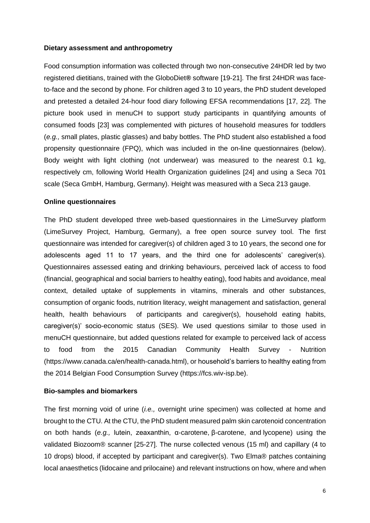#### **Dietary assessment and anthropometry**

Food consumption information was collected through two non-consecutive 24HDR led by two registered dietitians, trained with the GloboDiet*®* software [19-21]. The first 24HDR was faceto-face and the second by phone. For children aged 3 to 10 years, the PhD student developed and pretested a detailed 24-hour food diary following EFSA recommendations [17, 22]. The picture book used in menuCH to support study participants in quantifying amounts of consumed foods [23] was complemented with pictures of household measures for toddlers (*e.g.,* small plates, plastic glasses) and baby bottles. The PhD student also established a food propensity questionnaire (FPQ), which was included in the on-line questionnaires (below). Body weight with light clothing (not underwear) was measured to the nearest 0.1 kg, respectively cm, following World Health Organization guidelines [24] and using a Seca 701 scale (Seca GmbH, Hamburg, Germany). Height was measured with a Seca 213 gauge.

#### **Online questionnaires**

The PhD student developed three web-based questionnaires in the LimeSurvey platform (LimeSurvey Project, Hamburg, Germany), a free open source survey tool. The first questionnaire was intended for caregiver(s) of children aged 3 to 10 years, the second one for adolescents aged 11 to 17 years, and the third one for adolescents' caregiver(s). Questionnaires assessed eating and drinking behaviours, perceived lack of access to food (financial, geographical and social barriers to healthy eating), food habits and avoidance, meal context, detailed uptake of supplements in vitamins, minerals and other substances, consumption of organic foods, nutrition literacy, weight management and satisfaction, general health, health behaviours of participants and caregiver(s), household eating habits, caregiver(s)' socio-economic status (SES). We used questions similar to those used in menuCH questionnaire, but added questions related for example to perceived lack of access to food from the 2015 Canadian Community Health Survey - Nutrition (https://www.canada.ca/en/health-canada.html), or household's barriers to healthy eating from the 2014 Belgian Food Consumption Survey (https://fcs.wiv-isp.be).

#### **Bio-samples and biomarkers**

The first morning void of urine (*i.e.,* overnight urine specimen) was collected at home and brought to the CTU. At the CTU, the PhD student measured palm skin carotenoid concentration on both hands (*e.g.,* lutein, zeaxanthin, α-carotene, β-carotene, and [lycopene\)](https://en.wikipedia.org/wiki/Lycopene) using the validated Biozoom® scanner [25-27]. The nurse collected venous (15 ml) and capillary (4 to 10 drops) blood, if accepted by participant and caregiver(s). Two Elma® patches containing local anaesthetics (lidocaine and prilocaine) and relevant instructions on how, where and when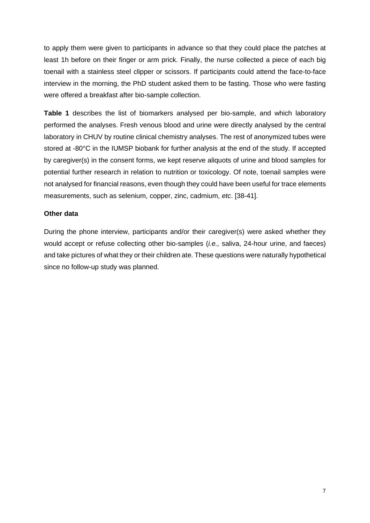to apply them were given to participants in advance so that they could place the patches at least 1h before on their finger or arm prick. Finally, the nurse collected a piece of each big toenail with a stainless steel clipper or scissors. If participants could attend the face-to-face interview in the morning, the PhD student asked them to be fasting. Those who were fasting were offered a breakfast after bio-sample collection.

**Table 1** describes the list of biomarkers analysed per bio-sample, and which laboratory performed the analyses. Fresh venous blood and urine were directly analysed by the central laboratory in CHUV by routine clinical chemistry analyses. The rest of anonymized tubes were stored at -80°C in the IUMSP biobank for further analysis at the end of the study. If accepted by caregiver(s) in the consent forms, we kept reserve aliquots of urine and blood samples for potential further research in relation to nutrition or toxicology. Of note, toenail samples were not analysed for financial reasons, even though they could have been useful for trace elements measurements, such as selenium, copper, zinc, cadmium, *etc*. [38-41].

#### **Other data**

During the phone interview, participants and/or their caregiver(s) were asked whether they would accept or refuse collecting other bio-samples (*i.e.,* saliva, 24-hour urine, and faeces) and take pictures of what they or their children ate. These questions were naturally hypothetical since no follow-up study was planned.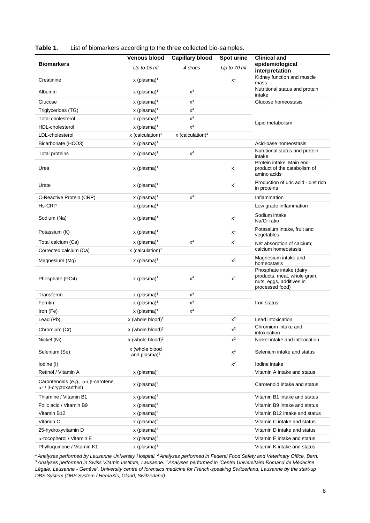|                                                                                            | <b>Capillary blood</b><br><b>Venous blood</b> |                                | Spot urine     | <b>Clinical and</b>                                                                                    |  |
|--------------------------------------------------------------------------------------------|-----------------------------------------------|--------------------------------|----------------|--------------------------------------------------------------------------------------------------------|--|
| <b>Biomarkers</b>                                                                          | Up to $15$ ml                                 | 4 drops                        | Up to 70 ml    | epidemiological<br>interpretation                                                                      |  |
| Creatinine                                                                                 | $x$ (plasma) <sup>1</sup>                     |                                | $x^1$          | Kidney function and muscle<br>mass                                                                     |  |
| Albumin                                                                                    | $x$ (plasma) <sup>1</sup>                     | $x^4$                          |                | Nutritional status and protein<br>intake                                                               |  |
| Glucose                                                                                    | x (plasma) <sup>1</sup>                       | $\mathsf{x}^4$                 |                | Glucose homeostasis                                                                                    |  |
| Triglycerides (TG)                                                                         | x (plasma) <sup>1</sup>                       | $\mathsf{x}^4$                 |                |                                                                                                        |  |
| Total cholesterol                                                                          | $x$ (plasma) <sup>1</sup>                     | $\mathsf{x}^4$                 |                |                                                                                                        |  |
| HDL-cholesterol                                                                            | x (plasma) <sup>1</sup>                       | $x^4$                          |                | Lipid metabolism                                                                                       |  |
| LDL-cholesterol                                                                            | $x$ (calculation) <sup>1</sup>                | $x$ (calculation) <sup>4</sup> |                |                                                                                                        |  |
| Bicarbonate (HCO3)                                                                         | $x$ (plasma) <sup>1</sup>                     |                                |                | Acid-base homeostasis                                                                                  |  |
| Total proteins                                                                             | x (plasma) $1$                                | $x^4$                          |                | Nutritional status and protein<br>intake                                                               |  |
| Urea                                                                                       | $x$ (plasma) <sup>1</sup>                     |                                | $x^1$          | Protein intake. Main end-<br>product of the catabolism of<br>amino acids                               |  |
| Urate                                                                                      | $x$ (plasma) <sup>1</sup>                     |                                | $\mathsf{x}^1$ | Production of uric acid - diet rich<br>in proteins                                                     |  |
| C-Reactive Protein (CRP)                                                                   | $x$ (plasma) <sup>1</sup>                     | $x^4$                          |                | Inflammation                                                                                           |  |
| Hs-CRP                                                                                     | x (plasma) <sup>1</sup>                       |                                |                | Low grade inflammation                                                                                 |  |
| Sodium (Na)                                                                                | $x$ (plasma) <sup>1</sup>                     |                                | $x^1$          | Sodium intake<br>Na/Cr ratio                                                                           |  |
| Potassium (K)                                                                              | x (plasma) $1$                                |                                | $x^1$          | Potassium intake, fruit and<br>vegetables                                                              |  |
| Total calcium (Ca)                                                                         | x (plasma) <sup>1</sup>                       | $x^4$                          | $x^1$          | Net absorption of calcium;                                                                             |  |
| Corrected calcium (Ca)                                                                     | $x$ (calculation) <sup>1</sup>                |                                |                | calcium homeostasis                                                                                    |  |
| Magnesium (Mg)                                                                             | x (plasma) <sup>1</sup>                       |                                | $x^1$          | Magnesium intake and<br>homeostasis                                                                    |  |
| Phosphate (PO4)                                                                            | $x$ (plasma) <sup>1</sup>                     | $x^4$                          | $x^1$          | Phosphate intake (dairy<br>products, meat, whole grain,<br>nuts, eggs, additives in<br>processed food) |  |
| Transferrin                                                                                | $x$ (plasma) <sup>1</sup>                     | $x^4$                          |                |                                                                                                        |  |
| Ferritin                                                                                   | $x$ (plasma) <sup>1</sup>                     | $\mathsf{x}^4$                 |                | Iron status                                                                                            |  |
| Iron (Fe)                                                                                  | x (plasma) <sup>1</sup>                       | $x^4$                          |                |                                                                                                        |  |
| Lead (Pb)                                                                                  | x (whole blood) $^2$                          |                                | $\mathsf{x}^2$ | Lead intoxication                                                                                      |  |
| Chromium (Cr)                                                                              | x (whole blood) $^2$                          |                                | $\mathsf{x}^2$ | Chromium intake and<br>intoxication                                                                    |  |
| Nickel (Ni)                                                                                | x (whole blood) <sup>2</sup>                  |                                | $x^2$          | Nickel intake and intoxication                                                                         |  |
| Selenium (Se)                                                                              | x (whole blood<br>and plasma) $2$             |                                | $x^2$          | Selenium intake and status                                                                             |  |
| lodine (I)                                                                                 |                                               |                                | $x^2$          | lodine intake                                                                                          |  |
| Retinol / Vitamin A                                                                        | x (plasma) $3$                                |                                |                | Vitamin A intake and status                                                                            |  |
| Carontenoids (e.g., $\alpha$ -/ $\beta$ -carotene,<br>$\alpha$ - / $\beta$ -cryptoxanthin) | x (plasma) $3$                                |                                |                | Carotenoid intake and status                                                                           |  |
| Thiamine / Vitamin B1                                                                      | x (plasma) $3$                                |                                |                | Vitamin B1 intake and status                                                                           |  |
| Folic acid / Vitamin B9                                                                    | x (plasma) $3$                                |                                |                | Vitamin B9 intake and status                                                                           |  |
| Vitamin B12                                                                                | x (plasma) $3$                                |                                |                | Vitamin B12 intake and status                                                                          |  |
| Vitamin C                                                                                  | $x$ (plasma) $3$                              |                                |                | Vitamin C intake and status                                                                            |  |
| 25-hydroxyvitamin D                                                                        | $x$ (plasma) $3$                              |                                |                | Vitamin D intake and status                                                                            |  |
| $\alpha$ -tocopherol / Vitamin E                                                           | $x$ (plasma) $3$                              |                                |                | Vitamin E intake and status                                                                            |  |
| Phylloquinone / Vitamin K1                                                                 | x (plasma) $3$                                |                                |                | Vitamin K intake and status                                                                            |  |

**Table 1**. List of biomarkers according to the three collected bio-samples.

<sup>1</sup> Analyses performed by Lausanne University Hospital. <sup>2</sup> Analyses performed in Federal Food Safety and Veterinary Office, Bern.

*<sup>3</sup>Analyses performed in Swiss Vitamin Institute, Lausanne. <sup>4</sup>Analyses performed in 'Centre Universitaire Romand de Médecine Légale, Lausanne - Genève', University centre of forensics medicine for French-speaking Switzerland, Lausanne by the start-up DBS System (DBS System / HemaXis, Gland, Switzerland).*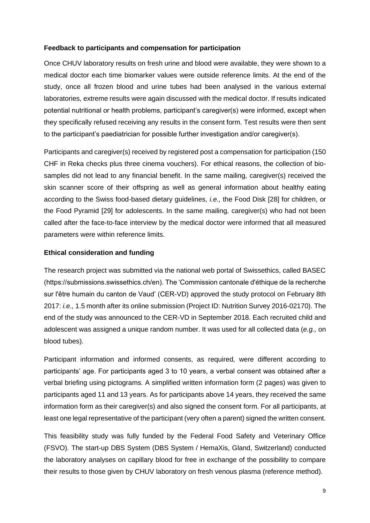#### **Feedback to participants and compensation for participation**

Once CHUV laboratory results on fresh urine and blood were available, they were shown to a medical doctor each time biomarker values were outside reference limits. At the end of the study, once all frozen blood and urine tubes had been analysed in the various external laboratories, extreme results were again discussed with the medical doctor. If results indicated potential nutritional or health problems, participant's caregiver(s) were informed, except when they specifically refused receiving any results in the consent form. Test results were then sent to the participant's paediatrician for possible further investigation and/or caregiver(s).

Participants and caregiver(s) received by registered post a compensation for participation (150 CHF in Reka checks plus three cinema vouchers). For ethical reasons, the collection of biosamples did not lead to any financial benefit. In the same mailing, caregiver(s) received the skin scanner score of their offspring as well as general information about healthy eating according to the Swiss food-based dietary guidelines, *i.e.,* the Food Disk [28] for children, or the Food Pyramid [29] for adolescents. In the same mailing, caregiver(s) who had not been called after the face-to-face interview by the medical doctor were informed that all measured parameters were within reference limits.

#### **Ethical consideration and funding**

The research project was submitted via the national web portal of Swissethics, called BASEC (https://submissions.swissethics.ch/en). The 'Commission cantonale d'éthique de la recherche sur l'être humain du canton de Vaud' (CER-VD) approved the study protocol on February 8th 2017: *i.e.,* 1.5 month after its online submission (Project ID: Nutrition Survey 2016-02170). The end of the study was announced to the CER-VD in September 2018. Each recruited child and adolescent was assigned a unique random number. It was used for all collected data (*e.g.,* on blood tubes).

Participant information and informed consents, as required, were different according to participants' age. For participants aged 3 to 10 years, a verbal consent was obtained after a verbal briefing using pictograms. A simplified written information form (2 pages) was given to participants aged 11 and 13 years. As for participants above 14 years, they received the same information form as their caregiver(s) and also signed the consent form. For all participants, at least one legal representative of the participant (very often a parent) signed the written consent.

This feasibility study was fully funded by the Federal Food Safety and Veterinary Office (FSVO). The start-up DBS System (DBS System / HemaXis, Gland, Switzerland) conducted the laboratory analyses on capillary blood for free in exchange of the possibility to compare their results to those given by CHUV laboratory on fresh venous plasma (reference method).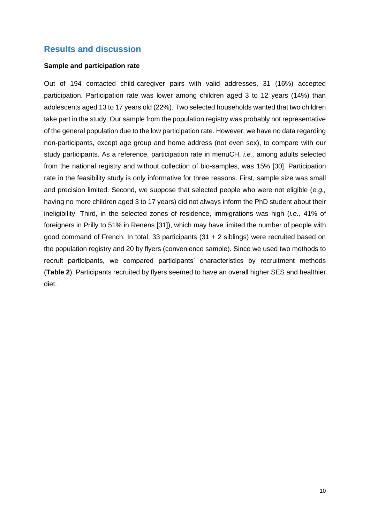# **Results and discussion**

#### **Sample and participation rate**

Out of 194 contacted child-caregiver pairs with valid addresses, 31 (16%) accepted participation. Participation rate was lower among children aged 3 to 12 years (14%) than adolescents aged 13 to 17 years old (22%). Two selected households wanted that two children take part in the study. Our sample from the population registry was probably not representative of the general population due to the low participation rate. However, we have no data regarding non-participants, except age group and home address (not even sex), to compare with our study participants. As a reference, participation rate in menuCH, *i.e.,* among adults selected from the national registry and without collection of bio-samples, was 15% [30]. Participation rate in the feasibility study is only informative for three reasons. First, sample size was small and precision limited. Second, we suppose that selected people who were not eligible (*e.g.,*  having no more children aged 3 to 17 years) did not always inform the PhD student about their ineligibility. Third, in the selected zones of residence, immigrations was high (*i.e.,* 41% of foreigners in Prilly to 51% in Renens [31]), which may have limited the number of people with good command of French. In total, 33 participants (31 + 2 siblings) were recruited based on the population registry and 20 by flyers (convenience sample). Since we used two methods to recruit participants, we compared participants' characteristics by recruitment methods (**Table 2**). Participants recruited by flyers seemed to have an overall higher SES and healthier diet.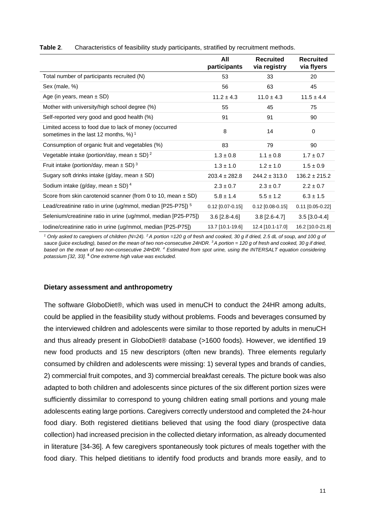|                                                                                                               | All<br>participants | <b>Recruited</b><br>via registry | <b>Recruited</b><br>via flyers |
|---------------------------------------------------------------------------------------------------------------|---------------------|----------------------------------|--------------------------------|
| Total number of participants recruited (N)                                                                    | 53                  | 33                               | 20                             |
| Sex (male, %)                                                                                                 | 56                  | 63                               | 45                             |
| Age (in years, mean $\pm$ SD)                                                                                 | $11.2 \pm 4.3$      | $11.0 \pm 4.3$                   | $11.5 \pm 4.4$                 |
| Mother with university/high school degree (%)                                                                 | 55                  | 45                               | 75                             |
| Self-reported very good and good health (%)                                                                   | 91                  | 91                               | 90                             |
| Limited access to food due to lack of money (occurred<br>sometimes in the last 12 months, $\%$ ) <sup>1</sup> | 8                   | 14                               | $\Omega$                       |
| Consumption of organic fruit and vegetables (%)                                                               | 83                  | 79                               | 90                             |
| Vegetable intake (portion/day, mean $\pm$ SD) <sup>2</sup>                                                    | $1.3 \pm 0.8$       | $1.1 \pm 0.8$                    | $1.7 \pm 0.7$                  |
| Fruit intake (portion/day, mean $\pm$ SD) <sup>3</sup>                                                        | $1.3 \pm 1.0$       | $1.2 \pm 1.0$                    | $1.5 \pm 0.9$                  |
| Sugary soft drinks intake (g/day, mean $\pm$ SD)                                                              | $203.4 \pm 282.8$   | $244.2 \pm 313.0$                | $136.2 \pm 215.2$              |
| Sodium intake (g/day, mean $\pm$ SD) <sup>4</sup>                                                             | $2.3 \pm 0.7$       | $2.3 \pm 0.7$                    | $2.2 \pm 0.7$                  |
| Score from skin carotenoid scanner (from 0 to 10, mean $\pm$ SD)                                              | $5.8 \pm 1.4$       | $5.5 \pm 1.2$                    | $6.3 \pm 1.5$                  |
| Lead/creatinine ratio in urine (ug/mmol, median $[P25-P75]$ ) <sup>5</sup>                                    | $0.12$ [0.07-0.15]  | $0.12$ [0.08-0.15]               | $0.11$ [0.05-0.22]             |
| Selenium/creatinine ratio in urine (ug/mmol, median [P25-P75])                                                | $3.6$ [2.8-4.6]     | $3.8$ [2.6-4.7]                  | $3.5$ [3.0-4.4]                |
| Iodine/creatinine ratio in urine (ug/mmol, median [P25-P75])                                                  | 13.7 [10.1-19.6]    | 12.4 [10.1-17.0]                 | 16.2 [10.0-21.8]               |

**Table 2**. Characteristics of feasibility study participants, stratified by recruitment methods.

*<sup>1</sup> Only asked to caregivers of children (N=24). <sup>2</sup>A portion =120 g of fresh and cooked, 30 g if dried, 2.5 dL of soup, and 100 g of sauce (juice excluding), based on the mean of two non-consecutive 24HDR. <sup>3</sup>A portion = 120 g of fresh and cooked, 30 g if dried, based on the mean of two non-consecutive 24HDR. <sup>4</sup> Estimated from spot urine, using the INTERSALT equation considering potassium [32, 33]. <sup>5</sup> One extreme high value was excluded.* 

#### **Dietary assessment and anthropometry**

The software GloboDiet®, which was used in menuCH to conduct the 24HR among adults, could be applied in the feasibility study without problems. Foods and beverages consumed by the interviewed children and adolescents were similar to those reported by adults in menuCH and thus already present in GloboDiet® database (>1600 foods). However, we identified 19 new food products and 15 new descriptors (often new brands). Three elements regularly consumed by children and adolescents were missing: 1) several types and brands of candies, 2) commercial fruit compotes, and 3) commercial breakfast cereals. The picture book was also adapted to both children and adolescents since pictures of the six different portion sizes were sufficiently dissimilar to correspond to young children eating small portions and young male adolescents eating large portions. Caregivers correctly understood and completed the 24-hour food diary. Both registered dietitians believed that using the food diary (prospective data collection) had increased precision in the collected dietary information, as already documented in literature [34-36]. A few caregivers spontaneously took pictures of meals together with the food diary. This helped dietitians to identify food products and brands more easily, and to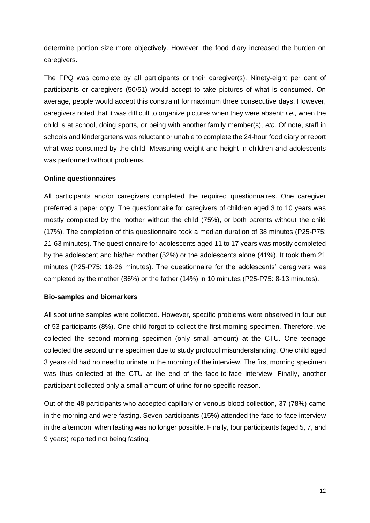determine portion size more objectively. However, the food diary increased the burden on caregivers.

The FPQ was complete by all participants or their caregiver(s). Ninety-eight per cent of participants or caregivers (50/51) would accept to take pictures of what is consumed. On average, people would accept this constraint for maximum three consecutive days. However, caregivers noted that it was difficult to organize pictures when they were absent: *i.e.,* when the child is at school, doing sports, or being with another family member(s), *etc*. Of note, staff in schools and kindergartens was reluctant or unable to complete the 24-hour food diary or report what was consumed by the child. Measuring weight and height in children and adolescents was performed without problems.

#### **Online questionnaires**

All participants and/or caregivers completed the required questionnaires. One caregiver preferred a paper copy. The questionnaire for caregivers of children aged 3 to 10 years was mostly completed by the mother without the child (75%), or both parents without the child (17%). The completion of this questionnaire took a median duration of 38 minutes (P25-P75: 21-63 minutes). The questionnaire for adolescents aged 11 to 17 years was mostly completed by the adolescent and his/her mother (52%) or the adolescents alone (41%). It took them 21 minutes (P25-P75: 18-26 minutes). The questionnaire for the adolescents' caregivers was completed by the mother (86%) or the father (14%) in 10 minutes (P25-P75: 8-13 minutes).

#### **Bio-samples and biomarkers**

All spot urine samples were collected. However, specific problems were observed in four out of 53 participants (8%). One child forgot to collect the first morning specimen. Therefore, we collected the second morning specimen (only small amount) at the CTU. One teenage collected the second urine specimen due to study protocol misunderstanding. One child aged 3 years old had no need to urinate in the morning of the interview. The first morning specimen was thus collected at the CTU at the end of the face-to-face interview. Finally, another participant collected only a small amount of urine for no specific reason.

Out of the 48 participants who accepted capillary or venous blood collection, 37 (78%) came in the morning and were fasting. Seven participants (15%) attended the face-to-face interview in the afternoon, when fasting was no longer possible. Finally, four participants (aged 5, 7, and 9 years) reported not being fasting.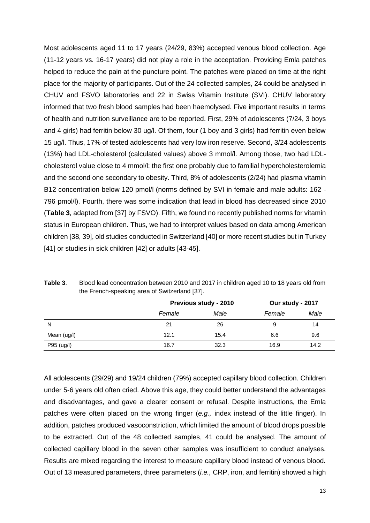Most adolescents aged 11 to 17 years (24/29, 83%) accepted venous blood collection. Age (11-12 years vs. 16-17 years) did not play a role in the acceptation. Providing Emla patches helped to reduce the pain at the puncture point. The patches were placed on time at the right place for the majority of participants. Out of the 24 collected samples, 24 could be analysed in CHUV and FSVO laboratories and 22 in Swiss Vitamin Institute (SVI). CHUV laboratory informed that two fresh blood samples had been haemolysed. Five important results in terms of health and nutrition surveillance are to be reported. First, 29% of adolescents (7/24, 3 boys and 4 girls) had ferritin below 30 ug/l. Of them, four (1 boy and 3 girls) had ferritin even below 15 ug/l. Thus, 17% of tested adolescents had very low iron reserve. Second, 3/24 adolescents (13%) had LDL-cholesterol (calculated values) above 3 mmol/l. Among those, two had LDLcholesterol value close to 4 mmol/l: the first one probably due to familial hypercholesterolemia and the second one secondary to obesity. Third, 8% of adolescents (2/24) had plasma vitamin B12 concentration below 120 pmol/l (norms defined by SVI in female and male adults: 162 -796 pmol/l). Fourth, there was some indication that lead in blood has decreased since 2010 (**Table 3**, adapted from [37] by FSVO). Fifth, we found no recently published norms for vitamin status in European children. Thus, we had to interpret values based on data among American children [38, 39], old studies conducted in Switzerland [40] or more recent studies but in Turkey [41] or studies in sick children [42] or adults [43-45].

|             |        | Previous study - 2010 |        | Our study - 2017 |  |
|-------------|--------|-----------------------|--------|------------------|--|
|             | Female | Male                  | Female | Male             |  |
| N           | 21     | 26                    |        | 14               |  |
| Mean (ug/l) | 12.1   | 15.4                  | 6.6    | 9.6              |  |
| P95 (ug/l)  | 16.7   | 32.3                  | 16.9   | 14.2             |  |

**Table 3**. Blood lead concentration between 2010 and 2017 in children aged 10 to 18 years old from the French-speaking area of Switzerland [37].

All adolescents (29/29) and 19/24 children (79%) accepted capillary blood collection. Children under 5-6 years old often cried. Above this age, they could better understand the advantages and disadvantages, and gave a clearer consent or refusal. Despite instructions, the Emla patches were often placed on the wrong finger (*e.g.,* index instead of the little finger). In addition, patches produced vasoconstriction, which limited the amount of blood drops possible to be extracted. Out of the 48 collected samples, 41 could be analysed. The amount of collected capillary blood in the seven other samples was insufficient to conduct analyses. Results are mixed regarding the interest to measure capillary blood instead of venous blood. Out of 13 measured parameters, three parameters (*i.e.,* CRP, iron, and ferritin) showed a high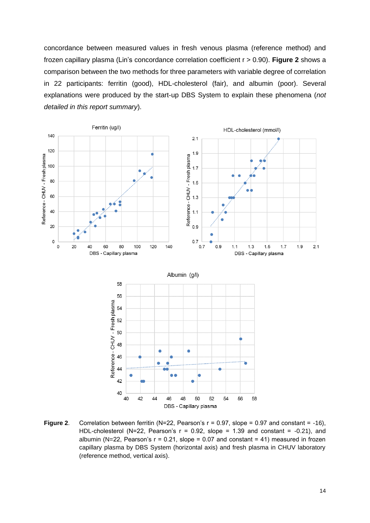concordance between measured values in fresh venous plasma (reference method) and frozen capillary plasma (Lin's concordance correlation coefficient r > 0.90). **Figure 2** shows a comparison between the two methods for three parameters with variable degree of correlation in 22 participants: ferritin (good), HDL-cholesterol (fair), and albumin (poor). Several explanations were produced by the start-up DBS System to explain these phenomena (*not detailed in this report summary*).



**Figure 2.** Correlation between ferritin (N=22, Pearson's r = 0.97, slope = 0.97 and constant = -16), HDL-cholesterol (N=22, Pearson's  $r = 0.92$ , slope = 1.39 and constant = -0.21), and albumin (N=22, Pearson's  $r = 0.21$ , slope = 0.07 and constant = 41) measured in frozen capillary plasma by DBS System (horizontal axis) and fresh plasma in CHUV laboratory (reference method, vertical axis).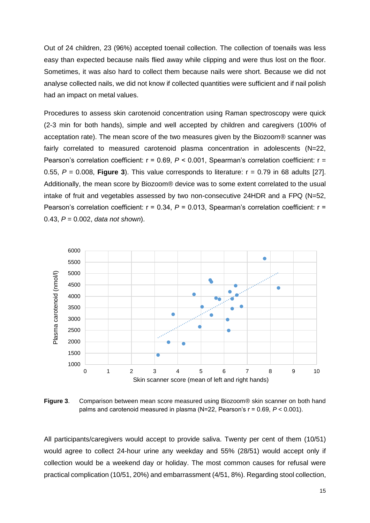Out of 24 children, 23 (96%) accepted toenail collection. The collection of toenails was less easy than expected because nails flied away while clipping and were thus lost on the floor. Sometimes, it was also hard to collect them because nails were short. Because we did not analyse collected nails, we did not know if collected quantities were sufficient and if nail polish had an impact on metal values.

Procedures to assess skin carotenoid concentration using Raman spectroscopy were quick (2-3 min for both hands), simple and well accepted by children and caregivers (100% of acceptation rate). The mean score of the two measures given by the Biozoom® scanner was fairly correlated to measured carotenoid plasma concentration in adolescents (N=22, Pearson's correlation coefficient: r = 0.69, *P* < 0.001, Spearman's correlation coefficient: r = 0.55,  $P = 0.008$ , **Figure 3**). This value corresponds to literature:  $r = 0.79$  in 68 adults [27]. Additionally, the mean score by Biozoom® device was to some extent correlated to the usual intake of fruit and vegetables assessed by two non-consecutive 24HDR and a FPQ (N=52, Pearson's correlation coefficient: r = 0.34, *P* = 0.013, Spearman's correlation coefficient: r = 0.43, *P* = 0.002, *data not sho*w*n*).



**Figure 3**. Comparison between mean score measured using Biozoom® skin scanner on both hand palms and carotenoid measured in plasma (N=22, Pearson's r = 0.69, *P* < 0.001).

All participants/caregivers would accept to provide saliva. Twenty per cent of them (10/51) would agree to collect 24-hour urine any weekday and 55% (28/51) would accept only if collection would be a weekend day or holiday. The most common causes for refusal were practical complication (10/51, 20%) and embarrassment (4/51, 8%). Regarding stool collection,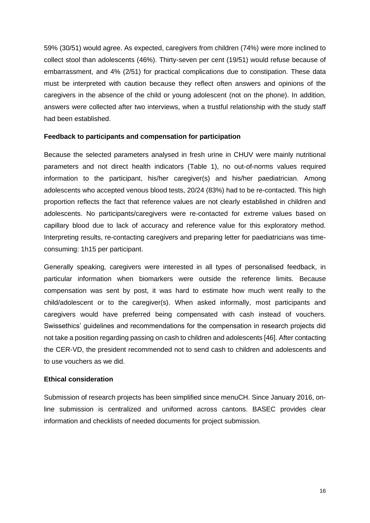59% (30/51) would agree. As expected, caregivers from children (74%) were more inclined to collect stool than adolescents (46%). Thirty-seven per cent (19/51) would refuse because of embarrassment, and 4% (2/51) for practical complications due to constipation. These data must be interpreted with caution because they reflect often answers and opinions of the caregivers in the absence of the child or young adolescent (not on the phone). In addition, answers were collected after two interviews, when a trustful relationship with the study staff had been established.

#### **Feedback to participants and compensation for participation**

Because the selected parameters analysed in fresh urine in CHUV were mainly nutritional parameters and not direct health indicators (Table 1), no out-of-norms values required information to the participant, his/her caregiver(s) and his/her paediatrician. Among adolescents who accepted venous blood tests, 20/24 (83%) had to be re-contacted. This high proportion reflects the fact that reference values are not clearly established in children and adolescents. No participants/caregivers were re-contacted for extreme values based on capillary blood due to lack of accuracy and reference value for this exploratory method. Interpreting results, re-contacting caregivers and preparing letter for paediatricians was timeconsuming: 1h15 per participant.

Generally speaking, caregivers were interested in all types of personalised feedback, in particular information when biomarkers were outside the reference limits. Because compensation was sent by post, it was hard to estimate how much went really to the child/adolescent or to the caregiver(s). When asked informally, most participants and caregivers would have preferred being compensated with cash instead of vouchers. Swissethics' guidelines and recommendations for the compensation in research projects did not take a position regarding passing on cash to children and adolescents [46]. After contacting the CER-VD, the president recommended not to send cash to children and adolescents and to use vouchers as we did.

#### **Ethical consideration**

Submission of research projects has been simplified since menuCH. Since January 2016, online submission is centralized and uniformed across cantons. BASEC provides clear information and checklists of needed documents for project submission.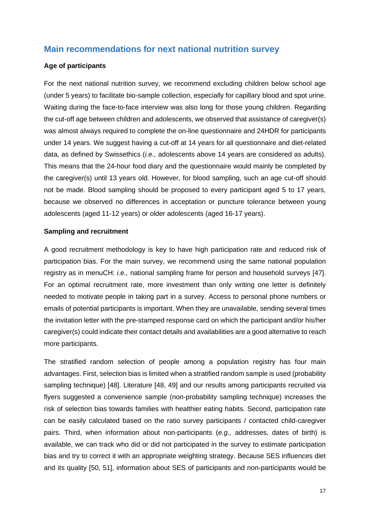# **Main recommendations for next national nutrition survey**

#### **Age of participants**

For the next national nutrition survey, we recommend excluding children below school age (under 5 years) to facilitate bio-sample collection, especially for capillary blood and spot urine. Waiting during the face-to-face interview was also long for those young children. Regarding the cut-off age between children and adolescents, we observed that assistance of caregiver(s) was almost always required to complete the on-line questionnaire and 24HDR for participants under 14 years. We suggest having a cut-off at 14 years for all questionnaire and diet-related data, as defined by Swissethics (*i.e.,* adolescents above 14 years are considered as adults). This means that the 24-hour food diary and the questionnaire would mainly be completed by the caregiver(s) until 13 years old. However, for blood sampling, such an age cut-off should not be made. Blood sampling should be proposed to every participant aged 5 to 17 years, because we observed no differences in acceptation or puncture tolerance between young adolescents (aged 11-12 years) or older adolescents (aged 16-17 years).

#### **Sampling and recruitment**

A good recruitment methodology is key to have high participation rate and reduced risk of participation bias. For the main survey, we recommend using the same national population registry as in menuCH: *i.e.,* national sampling frame for person and household surveys [47]. For an optimal recruitment rate, more investment than only writing one letter is definitely needed to motivate people in taking part in a survey. Access to personal phone numbers or emails of potential participants is important. When they are unavailable, sending several times the invitation letter with the pre-stamped response card on which the participant and/or his/her caregiver(s) could indicate their contact details and availabilities are a good alternative to reach more participants.

The stratified random selection of people among a population registry has four main advantages. First, selection bias is limited when a stratified random sample is used (probability sampling technique) [48]. Literature [48, 49] and our results among participants recruited via flyers suggested a convenience sample (non-probability sampling technique) increases the risk of selection bias towards families with healthier eating habits. Second, participation rate can be easily calculated based on the ratio survey participants / contacted child-caregiver pairs. Third, when information about non-participants (*e.g.,* addresses, dates of birth) is available, we can track who did or did not participated in the survey to estimate participation bias and try to correct it with an appropriate weighting strategy. Because SES influences diet and its quality [50, 51], information about SES of participants and non-participants would be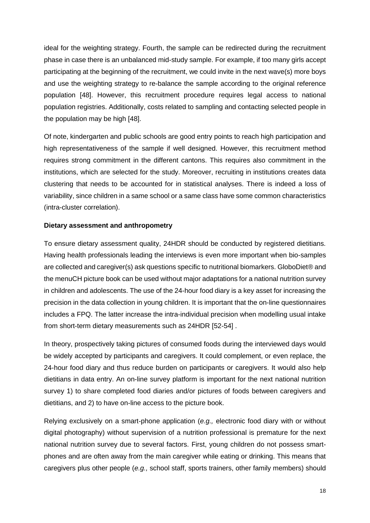ideal for the weighting strategy. Fourth, the sample can be redirected during the recruitment phase in case there is an unbalanced mid-study sample. For example, if too many girls accept participating at the beginning of the recruitment, we could invite in the next wave(s) more boys and use the weighting strategy to re-balance the sample according to the original reference population [48]. However, this recruitment procedure requires legal access to national population registries. Additionally, costs related to sampling and contacting selected people in the population may be high [48].

Of note, kindergarten and public schools are good entry points to reach high participation and high representativeness of the sample if well designed. However, this recruitment method requires strong commitment in the different cantons. This requires also commitment in the institutions, which are selected for the study. Moreover, recruiting in institutions creates data clustering that needs to be accounted for in statistical analyses. There is indeed a loss of variability, since children in a same school or a same class have some common characteristics (intra-cluster correlation).

#### **Dietary assessment and anthropometry**

To ensure dietary assessment quality, 24HDR should be conducted by registered dietitians. Having health professionals leading the interviews is even more important when bio-samples are collected and caregiver(s) ask questions specific to nutritional biomarkers. GloboDiet® and the menuCH picture book can be used without major adaptations for a national nutrition survey in children and adolescents. The use of the 24-hour food diary is a key asset for increasing the precision in the data collection in young children. It is important that the on-line questionnaires includes a FPQ. The latter increase the intra-individual precision when modelling usual intake from short-term dietary measurements such as 24HDR [52-54] .

In theory, prospectively taking pictures of consumed foods during the interviewed days would be widely accepted by participants and caregivers. It could complement, or even replace, the 24-hour food diary and thus reduce burden on participants or caregivers. It would also help dietitians in data entry. An on-line survey platform is important for the next national nutrition survey 1) to share completed food diaries and/or pictures of foods between caregivers and dietitians, and 2) to have on-line access to the picture book.

Relying exclusively on a smart-phone application (*e.g.,* electronic food diary with or without digital photography) without supervision of a nutrition professional is premature for the next national nutrition survey due to several factors. First, young children do not possess smartphones and are often away from the main caregiver while eating or drinking. This means that caregivers plus other people (*e.g.,* school staff, sports trainers, other family members) should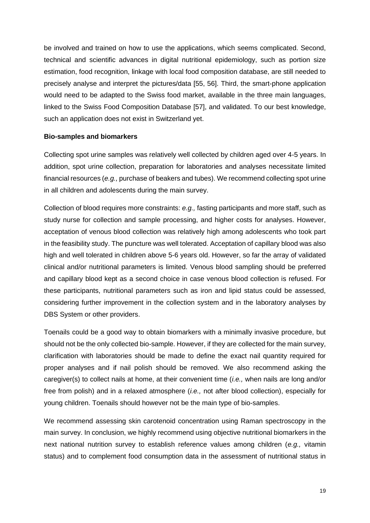be involved and trained on how to use the applications, which seems complicated. Second, technical and scientific advances in digital nutritional epidemiology, such as portion size estimation, food recognition, linkage with local food composition database, are still needed to precisely analyse and interpret the pictures/data [55, 56]. Third, the smart-phone application would need to be adapted to the Swiss food market, available in the three main languages, linked to the Swiss Food Composition Database [57], and validated. To our best knowledge, such an application does not exist in Switzerland yet.

#### **Bio-samples and biomarkers**

Collecting spot urine samples was relatively well collected by children aged over 4-5 years. In addition, spot urine collection, preparation for laboratories and analyses necessitate limited financial resources (*e.g.,* purchase of beakers and tubes). We recommend collecting spot urine in all children and adolescents during the main survey.

Collection of blood requires more constraints: *e.g.,* fasting participants and more staff, such as study nurse for collection and sample processing, and higher costs for analyses. However, acceptation of venous blood collection was relatively high among adolescents who took part in the feasibility study. The puncture was well tolerated. Acceptation of capillary blood was also high and well tolerated in children above 5-6 years old. However, so far the array of validated clinical and/or nutritional parameters is limited. Venous blood sampling should be preferred and capillary blood kept as a second choice in case venous blood collection is refused. For these participants, nutritional parameters such as iron and lipid status could be assessed, considering further improvement in the collection system and in the laboratory analyses by DBS System or other providers.

Toenails could be a good way to obtain biomarkers with a minimally invasive procedure, but should not be the only collected bio-sample. However, if they are collected for the main survey, clarification with laboratories should be made to define the exact nail quantity required for proper analyses and if nail polish should be removed. We also recommend asking the caregiver(s) to collect nails at home, at their convenient time (*i.e.,* when nails are long and/or free from polish) and in a relaxed atmosphere (*i.e.,* not after blood collection), especially for young children. Toenails should however not be the main type of bio-samples.

We recommend assessing skin carotenoid concentration using Raman spectroscopy in the main survey. In conclusion, we highly recommend using objective nutritional biomarkers in the next national nutrition survey to establish reference values among children (*e.g.,* vitamin status) and to complement food consumption data in the assessment of nutritional status in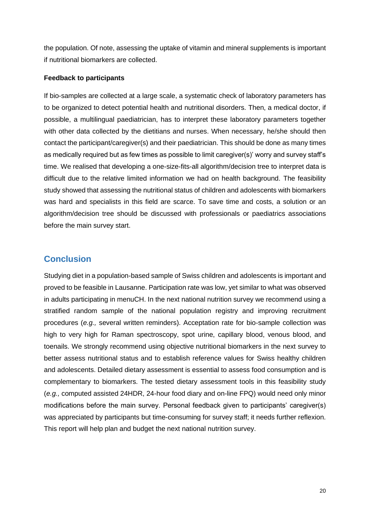the population. Of note, assessing the uptake of vitamin and mineral supplements is important if nutritional biomarkers are collected.

#### **Feedback to participants**

If bio-samples are collected at a large scale, a systematic check of laboratory parameters has to be organized to detect potential health and nutritional disorders. Then, a medical doctor, if possible, a multilingual paediatrician, has to interpret these laboratory parameters together with other data collected by the dietitians and nurses. When necessary, he/she should then contact the participant/caregiver(s) and their paediatrician. This should be done as many times as medically required but as few times as possible to limit caregiver(s)' worry and survey staff's time. We realised that developing a one-size-fits-all algorithm/decision tree to interpret data is difficult due to the relative limited information we had on health background. The feasibility study showed that assessing the nutritional status of children and adolescents with biomarkers was hard and specialists in this field are scarce. To save time and costs, a solution or an algorithm/decision tree should be discussed with professionals or paediatrics associations before the main survey start.

# **Conclusion**

Studying diet in a population-based sample of Swiss children and adolescents is important and proved to be feasible in Lausanne. Participation rate was low, yet similar to what was observed in adults participating in menuCH. In the next national nutrition survey we recommend using a stratified random sample of the national population registry and improving recruitment procedures (*e.g.,* several written reminders). Acceptation rate for bio-sample collection was high to very high for Raman spectroscopy, spot urine, capillary blood, venous blood, and toenails. We strongly recommend using objective nutritional biomarkers in the next survey to better assess nutritional status and to establish reference values for Swiss healthy children and adolescents. Detailed dietary assessment is essential to assess food consumption and is complementary to biomarkers. The tested dietary assessment tools in this feasibility study (*e.g.,* computed assisted 24HDR, 24-hour food diary and on-line FPQ) would need only minor modifications before the main survey. Personal feedback given to participants' caregiver(s) was appreciated by participants but time-consuming for survey staff; it needs further reflexion. This report will help plan and budget the next national nutrition survey.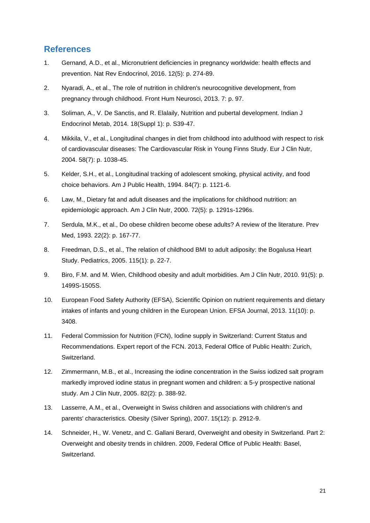# **References**

- 1. Gernand, A.D., et al., Micronutrient deficiencies in pregnancy worldwide: health effects and prevention. Nat Rev Endocrinol, 2016. 12(5): p. 274-89.
- 2. Nyaradi, A., et al., The role of nutrition in children's neurocognitive development, from pregnancy through childhood. Front Hum Neurosci, 2013. 7: p. 97.
- 3. Soliman, A., V. De Sanctis, and R. Elalaily, Nutrition and pubertal development. Indian J Endocrinol Metab, 2014. 18(Suppl 1): p. S39-47.
- 4. Mikkila, V., et al., Longitudinal changes in diet from childhood into adulthood with respect to risk of cardiovascular diseases: The Cardiovascular Risk in Young Finns Study. Eur J Clin Nutr, 2004. 58(7): p. 1038-45.
- 5. Kelder, S.H., et al., Longitudinal tracking of adolescent smoking, physical activity, and food choice behaviors. Am J Public Health, 1994. 84(7): p. 1121-6.
- 6. Law, M., Dietary fat and adult diseases and the implications for childhood nutrition: an epidemiologic approach. Am J Clin Nutr, 2000. 72(5): p. 1291s-1296s.
- 7. Serdula, M.K., et al., Do obese children become obese adults? A review of the literature. Prev Med, 1993. 22(2): p. 167-77.
- 8. Freedman, D.S., et al., The relation of childhood BMI to adult adiposity: the Bogalusa Heart Study. Pediatrics, 2005. 115(1): p. 22-7.
- 9. Biro, F.M. and M. Wien, Childhood obesity and adult morbidities. Am J Clin Nutr, 2010. 91(5): p. 1499S-1505S.
- 10. European Food Safety Authority (EFSA), Scientific Opinion on nutrient requirements and dietary intakes of infants and young children in the European Union. EFSA Journal, 2013. 11(10): p. 3408.
- 11. Federal Commission for Nutrition (FCN), Iodine supply in Switzerland: Current Status and Recommendations. Expert report of the FCN. 2013, Federal Office of Public Health: Zurich, Switzerland.
- 12. Zimmermann, M.B., et al., Increasing the iodine concentration in the Swiss iodized salt program markedly improved iodine status in pregnant women and children: a 5-y prospective national study. Am J Clin Nutr, 2005. 82(2): p. 388-92.
- 13. Lasserre, A.M., et al., Overweight in Swiss children and associations with children's and parents' characteristics. Obesity (Silver Spring), 2007. 15(12): p. 2912-9.
- 14. Schneider, H., W. Venetz, and C. Gallani Berard, Overweight and obesity in Switzerland. Part 2: Overweight and obesity trends in children. 2009, Federal Office of Public Health: Basel, Switzerland.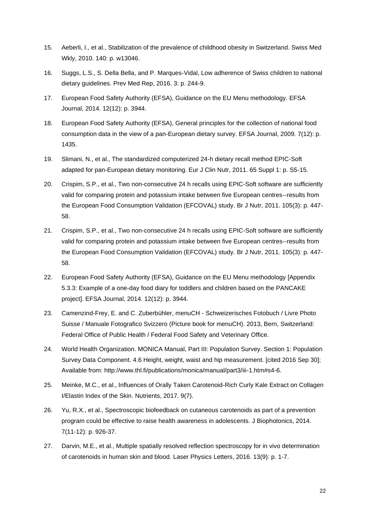- 15. Aeberli, I., et al., Stabilization of the prevalence of childhood obesity in Switzerland. Swiss Med Wkly, 2010. 140: p. w13046.
- 16. Suggs, L.S., S. Della Bella, and P. Marques-Vidal, Low adherence of Swiss children to national dietary guidelines. Prev Med Rep, 2016. 3: p. 244-9.
- 17. European Food Safety Authority (EFSA), Guidance on the EU Menu methodology. EFSA Journal, 2014. 12(12): p. 3944.
- 18. European Food Safety Authority (EFSA), General principles for the collection of national food consumption data in the view of a pan-European dietary survey. EFSA Journal, 2009. 7(12): p. 1435.
- 19. Slimani, N., et al., The standardized computerized 24-h dietary recall method EPIC-Soft adapted for pan-European dietary monitoring. Eur J Clin Nutr, 2011. 65 Suppl 1: p. S5-15.
- 20. Crispim, S.P., et al., Two non-consecutive 24 h recalls using EPIC-Soft software are sufficiently valid for comparing protein and potassium intake between five European centres--results from the European Food Consumption Validation (EFCOVAL) study. Br J Nutr, 2011. 105(3): p. 447- 58.
- 21. Crispim, S.P., et al., Two non-consecutive 24 h recalls using EPIC-Soft software are sufficiently valid for comparing protein and potassium intake between five European centres--results from the European Food Consumption Validation (EFCOVAL) study. Br J Nutr, 2011. 105(3): p. 447- 58.
- 22. European Food Safety Authority (EFSA), Guidance on the EU Menu methodology [Appendix 5.3.3: Example of a one-day food diary for toddlers and children based on the PANCAKE project]. EFSA Journal, 2014. 12(12): p. 3944.
- 23. Camenzind-Frey, E. and C. Zuberbühler, menuCH Schweizerisches Fotobuch / Livre Photo Suisse / Manuale Fotografico Svizzero (Picture book for menuCH). 2013, Bern, Switzerland: Federal Office of Public Health / Federal Food Safety and Veterinary Office.
- 24. World Health Organization. MONICA Manual, Part III: Population Survey. Section 1: Population Survey Data Component. 4.6 Height, weight, waist and hip measurement. [cited 2016 Sep 30]; Available from: http://www.thl.fi/publications/monica/manual/part3/iii-1.htm#s4-6.
- 25. Meinke, M.C., et al., Influences of Orally Taken Carotenoid-Rich Curly Kale Extract on Collagen I/Elastin Index of the Skin. Nutrients, 2017. 9(7).
- 26. Yu, R.X., et al., Spectroscopic biofeedback on cutaneous carotenoids as part of a prevention program could be effective to raise health awareness in adolescents. J Biophotonics, 2014. 7(11-12): p. 926-37.
- 27. Darvin, M.E., et al., Multiple spatially resolved reflection spectroscopy for in vivo determination of carotenoids in human skin and blood. Laser Physics Letters, 2016. 13(9): p. 1-7.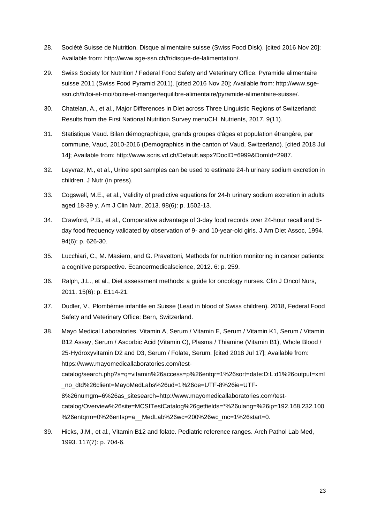- 28. Société Suisse de Nutrition. Disque alimentaire suisse (Swiss Food Disk). [cited 2016 Nov 20]; Available from: http://www.sge-ssn.ch/fr/disque-de-lalimentation/.
- 29. Swiss Society for Nutrition / Federal Food Safety and Veterinary Office. Pyramide alimentaire suisse 2011 (Swiss Food Pyramid 2011). [cited 2016 Nov 20]; Available from: http://www.sgessn.ch/fr/toi-et-moi/boire-et-manger/equilibre-alimentaire/pyramide-alimentaire-suisse/.
- 30. Chatelan, A., et al., Major Differences in Diet across Three Linguistic Regions of Switzerland: Results from the First National Nutrition Survey menuCH. Nutrients, 2017. 9(11).
- 31. Statistique Vaud. Bilan démographique, grands groupes d'âges et population étrangère, par commune, Vaud, 2010-2016 (Demographics in the canton of Vaud, Switzerland). [cited 2018 Jul 14]; Available from: http://www.scris.vd.ch/Default.aspx?DocID=6999&DomId=2987.
- 32. Leyvraz, M., et al., Urine spot samples can be used to estimate 24-h urinary sodium excretion in children. J Nutr (in press).
- 33. Cogswell, M.E., et al., Validity of predictive equations for 24-h urinary sodium excretion in adults aged 18-39 y. Am J Clin Nutr, 2013. 98(6): p. 1502-13.
- 34. Crawford, P.B., et al., Comparative advantage of 3-day food records over 24-hour recall and 5 day food frequency validated by observation of 9- and 10-year-old girls. J Am Diet Assoc, 1994. 94(6): p. 626-30.
- 35. Lucchiari, C., M. Masiero, and G. Pravettoni, Methods for nutrition monitoring in cancer patients: a cognitive perspective. Ecancermedicalscience, 2012. 6: p. 259.
- 36. Ralph, J.L., et al., Diet assessment methods: a guide for oncology nurses. Clin J Oncol Nurs, 2011. 15(6): p. E114-21.
- 37. Dudler, V., Plombémie infantile en Suisse (Lead in blood of Swiss children). 2018, Federal Food Safety and Veterinary Office: Bern, Switzerland.
- 38. Mayo Medical Laboratories. Vitamin A, Serum / Vitamin E, Serum / Vitamin K1, Serum / Vitamin B12 Assay, Serum / Ascorbic Acid (Vitamin C), Plasma / Thiamine (Vitamin B1), Whole Blood / 25-Hydroxyvitamin D2 and D3, Serum / Folate, Serum. [cited 2018 Jul 17]; Available from: https://www.mayomedicallaboratories.com/testcatalog/search.php?s=q=vitamin%26access=p%26entqr=1%26sort=date:D:L:d1%26output=xml \_no\_dtd%26client=MayoMedLabs%26ud=1%26oe=UTF-8%26ie=UTF-8%26numgm=6%26as\_sitesearch=http://www.mayomedicallaboratories.com/testcatalog/Overview%26site=MCSITestCatalog%26getfields=\*%26ulang=%26ip=192.168.232.100 %26entqrm=0%26entsp=a MedLab%26wc=200%26wc mc=1%26start=0.
- 39. Hicks, J.M., et al., Vitamin B12 and folate. Pediatric reference ranges. Arch Pathol Lab Med, 1993. 117(7): p. 704-6.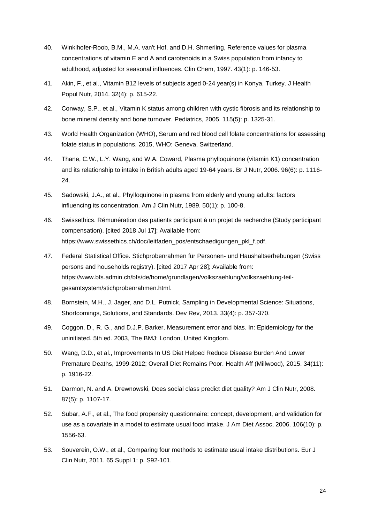- 40. Winklhofer-Roob, B.M., M.A. van't Hof, and D.H. Shmerling, Reference values for plasma concentrations of vitamin E and A and carotenoids in a Swiss population from infancy to adulthood, adjusted for seasonal influences. Clin Chem, 1997. 43(1): p. 146-53.
- 41. Akin, F., et al., Vitamin B12 levels of subjects aged 0-24 year(s) in Konya, Turkey. J Health Popul Nutr, 2014. 32(4): p. 615-22.
- 42. Conway, S.P., et al., Vitamin K status among children with cystic fibrosis and its relationship to bone mineral density and bone turnover. Pediatrics, 2005. 115(5): p. 1325-31.
- 43. World Health Organization (WHO), Serum and red blood cell folate concentrations for assessing folate status in populations. 2015, WHO: Geneva, Switzerland.
- 44. Thane, C.W., L.Y. Wang, and W.A. Coward, Plasma phylloquinone (vitamin K1) concentration and its relationship to intake in British adults aged 19-64 years. Br J Nutr, 2006. 96(6): p. 1116- 24.
- 45. Sadowski, J.A., et al., Phylloquinone in plasma from elderly and young adults: factors influencing its concentration. Am J Clin Nutr, 1989. 50(1): p. 100-8.
- 46. Swissethics. Rémunération des patients participant à un projet de recherche (Study participant compensation). [cited 2018 Jul 17]; Available from: https://www.swissethics.ch/doc/leitfaden\_pos/entschaedigungen\_pkl\_f.pdf.
- 47. Federal Statistical Office. Stichprobenrahmen für Personen- und Haushaltserhebungen (Swiss persons and households registry). [cited 2017 Apr 28]; Available from: https://www.bfs.admin.ch/bfs/de/home/grundlagen/volkszaehlung/volkszaehlung-teilgesamtsystem/stichprobenrahmen.html.
- 48. Bornstein, M.H., J. Jager, and D.L. Putnick, Sampling in Developmental Science: Situations, Shortcomings, Solutions, and Standards. Dev Rev, 2013. 33(4): p. 357-370.
- 49. Coggon, D., R. G., and D.J.P. Barker, Measurement error and bias. In: Epidemiology for the uninitiated. 5th ed. 2003, The BMJ: London, United Kingdom.
- 50. Wang, D.D., et al., Improvements In US Diet Helped Reduce Disease Burden And Lower Premature Deaths, 1999-2012; Overall Diet Remains Poor. Health Aff (Millwood), 2015. 34(11): p. 1916-22.
- 51. Darmon, N. and A. Drewnowski, Does social class predict diet quality? Am J Clin Nutr, 2008. 87(5): p. 1107-17.
- 52. Subar, A.F., et al., The food propensity questionnaire: concept, development, and validation for use as a covariate in a model to estimate usual food intake. J Am Diet Assoc, 2006. 106(10): p. 1556-63.
- 53. Souverein, O.W., et al., Comparing four methods to estimate usual intake distributions. Eur J Clin Nutr, 2011. 65 Suppl 1: p. S92-101.